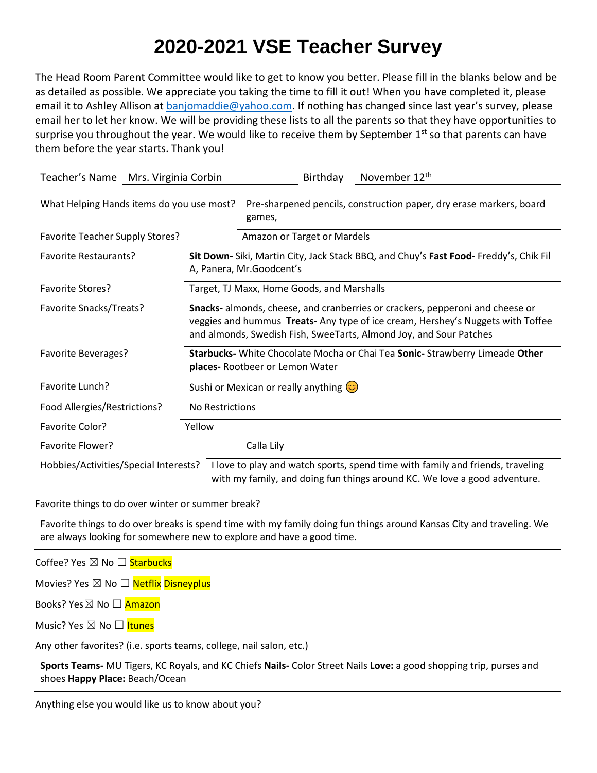## **2020-2021 VSE Teacher Survey**

The Head Room Parent Committee would like to get to know you better. Please fill in the blanks below and be as detailed as possible. We appreciate you taking the time to fill it out! When you have completed it, please email it to Ashley Allison at [banjomaddie@yahoo.com](mailto:banjomaddie@yahoo.com). If nothing has changed since last year's survey, please email her to let her know. We will be providing these lists to all the parents so that they have opportunities to surprise you throughout the year. We would like to receive them by September  $1<sup>st</sup>$  so that parents can have them before the year starts. Thank you!

| Teacher's Name Mrs. Virginia Corbin       | November 12th<br>Birthday                                                                                                                                                                                                              |
|-------------------------------------------|----------------------------------------------------------------------------------------------------------------------------------------------------------------------------------------------------------------------------------------|
| What Helping Hands items do you use most? | Pre-sharpened pencils, construction paper, dry erase markers, board<br>games,                                                                                                                                                          |
| <b>Favorite Teacher Supply Stores?</b>    | Amazon or Target or Mardels                                                                                                                                                                                                            |
| <b>Favorite Restaurants?</b>              | Sit Down- Siki, Martin City, Jack Stack BBQ, and Chuy's Fast Food- Freddy's, Chik Fil<br>A, Panera, Mr. Goodcent's                                                                                                                     |
| <b>Favorite Stores?</b>                   | Target, TJ Maxx, Home Goods, and Marshalls                                                                                                                                                                                             |
| Favorite Snacks/Treats?                   | Snacks- almonds, cheese, and cranberries or crackers, pepperoni and cheese or<br>veggies and hummus Treats- Any type of ice cream, Hershey's Nuggets with Toffee<br>and almonds, Swedish Fish, SweeTarts, Almond Joy, and Sour Patches |
| <b>Favorite Beverages?</b>                | Starbucks- White Chocolate Mocha or Chai Tea Sonic- Strawberry Limeade Other<br>places- Rootbeer or Lemon Water                                                                                                                        |
| Favorite Lunch?                           | Sushi or Mexican or really anything $\circled{c}$                                                                                                                                                                                      |
| Food Allergies/Restrictions?              | No Restrictions                                                                                                                                                                                                                        |
| Favorite Color?                           | Yellow                                                                                                                                                                                                                                 |
| Favorite Flower?                          | Calla Lily                                                                                                                                                                                                                             |
| Hobbies/Activities/Special Interests?     | I love to play and watch sports, spend time with family and friends, traveling<br>with my family, and doing fun things around KC. We love a good adventure.                                                                            |

Favorite things to do over winter or summer break?

Favorite things to do over breaks is spend time with my family doing fun things around Kansas City and traveling. We are always looking for somewhere new to explore and have a good time.

Coffee? Yes ⊠ No □ Starbucks

Movies? Yes  $\boxtimes$  No  $\Box$  Netflix Disneyplus

Books? Yes⊠ No □ Amazon

Music? Yes ⊠ No □ Itunes

Any other favorites? (i.e. sports teams, college, nail salon, etc.)

**Sports Teams-** MU Tigers, KC Royals, and KC Chiefs **Nails-** Color Street Nails **Love:** a good shopping trip, purses and shoes **Happy Place:** Beach/Ocean

Anything else you would like us to know about you?